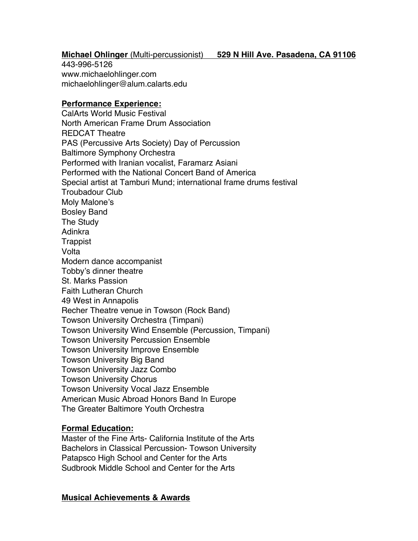# **Michael Ohlinger** (Multi-percussionist) **529 N Hill Ave. Pasadena, CA 91106**

443-996-5126 www.michaelohlinger.com michaelohlinger@alum.calarts.edu

### **Performance Experience:**

CalArts World Music Festival North American Frame Drum Association REDCAT Theatre PAS (Percussive Arts Society) Day of Percussion Baltimore Symphony Orchestra Performed with Iranian vocalist, Faramarz Asiani Performed with the National Concert Band of America Special artist at Tamburi Mund; international frame drums festival Troubadour Club Moly Malone's Bosley Band The Study Adinkra **Trappist Volta** Modern dance accompanist Tobby's dinner theatre St. Marks Passion Faith Lutheran Church 49 West in Annapolis Recher Theatre venue in Towson (Rock Band) Towson University Orchestra (Timpani) Towson University Wind Ensemble (Percussion, Timpani) Towson University Percussion Ensemble Towson University Improve Ensemble Towson University Big Band Towson University Jazz Combo Towson University Chorus Towson University Vocal Jazz Ensemble American Music Abroad Honors Band In Europe The Greater Baltimore Youth Orchestra

### **Formal Education:**

Master of the Fine Arts- California Institute of the Arts Bachelors in Classical Percussion- Towson University Patapsco High School and Center for the Arts Sudbrook Middle School and Center for the Arts

#### **Musical Achievements & Awards**